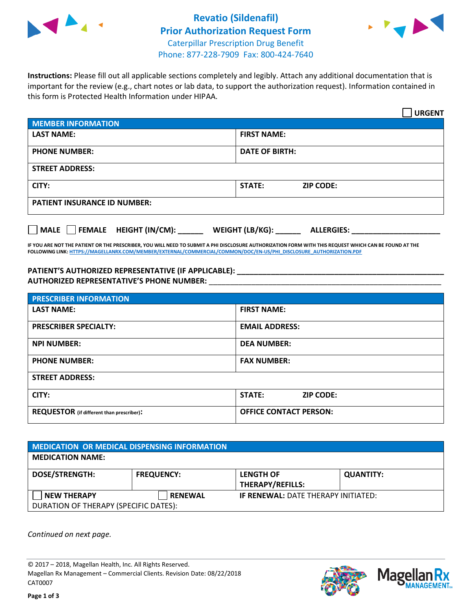



**Instructions:** Please fill out all applicable sections completely and legibly. Attach any additional documentation that is important for the review (e.g., chart notes or lab data, to support the authorization request). Information contained in this form is Protected Health Information under HIPAA.

|                                            | <b>URGENT</b>                        |  |
|--------------------------------------------|--------------------------------------|--|
| <b>MEMBER INFORMATION</b>                  |                                      |  |
| <b>LAST NAME:</b>                          | <b>FIRST NAME:</b>                   |  |
| <b>PHONE NUMBER:</b>                       | <b>DATE OF BIRTH:</b>                |  |
| <b>STREET ADDRESS:</b>                     |                                      |  |
| CITY:                                      | STATE:<br><b>ZIP CODE:</b>           |  |
| <b>PATIENT INSURANCE ID NUMBER:</b>        |                                      |  |
| FEMALE HEIGHT (IN/CM):<br>$ $ MALE $ $ $ $ | WEIGHT (LB/KG):<br><b>ALLERGIES:</b> |  |

**IF YOU ARE NOT THE PATIENT OR THE PRESCRIBER, YOU WILL NEED TO SUBMIT A PHI DISCLOSURE AUTHORIZATION FORM WITH THIS REQUEST WHICH CAN BE FOUND AT THE FOLLOWING LINK[: HTTPS://MAGELLANRX.COM/MEMBER/EXTERNAL/COMMERCIAL/COMMON/DOC/EN-US/PHI\\_DISCLOSURE\\_AUTHORIZATION.PDF](https://magellanrx.com/member/external/commercial/common/doc/en-us/PHI_Disclosure_Authorization.pdf)**

**PATIENT'S AUTHORIZED REPRESENTATIVE (IF APPLICABLE): \_\_\_\_\_\_\_\_\_\_\_\_\_\_\_\_\_\_\_\_\_\_\_\_\_\_\_\_\_\_\_\_\_\_\_\_\_\_\_\_\_\_\_\_\_\_\_\_\_ AUTHORIZED REPRESENTATIVE'S PHONE NUMBER:** \_\_\_\_\_\_\_\_\_\_\_\_\_\_\_\_\_\_\_\_\_\_\_\_\_\_\_\_\_\_\_\_\_\_\_\_\_\_\_\_\_\_\_\_\_\_\_\_\_\_\_\_\_\_\_

| <b>PRESCRIBER INFORMATION</b>             |                               |  |  |  |
|-------------------------------------------|-------------------------------|--|--|--|
| <b>LAST NAME:</b>                         | <b>FIRST NAME:</b>            |  |  |  |
| <b>PRESCRIBER SPECIALTY:</b>              | <b>EMAIL ADDRESS:</b>         |  |  |  |
| <b>NPI NUMBER:</b>                        | <b>DEA NUMBER:</b>            |  |  |  |
| <b>PHONE NUMBER:</b>                      | <b>FAX NUMBER:</b>            |  |  |  |
| <b>STREET ADDRESS:</b>                    |                               |  |  |  |
| CITY:                                     | STATE:<br><b>ZIP CODE:</b>    |  |  |  |
| REQUESTOR (if different than prescriber): | <b>OFFICE CONTACT PERSON:</b> |  |  |  |

| <b>MEDICATION OR MEDICAL DISPENSING INFORMATION</b> |                   |                                             |                  |  |  |
|-----------------------------------------------------|-------------------|---------------------------------------------|------------------|--|--|
| <b>MEDICATION NAME:</b>                             |                   |                                             |                  |  |  |
| <b>DOSE/STRENGTH:</b>                               | <b>FREQUENCY:</b> | <b>LENGTH OF</b><br><b>THERAPY/REFILLS:</b> | <b>QUANTITY:</b> |  |  |
| <b>NEW THERAPY</b>                                  | <b>RENEWAL</b>    | <b>IF RENEWAL: DATE THERAPY INITIATED:</b>  |                  |  |  |
| DURATION OF THERAPY (SPECIFIC DATES):               |                   |                                             |                  |  |  |

*Continued on next page.*

© 2017 – 2018, Magellan Health, Inc. All Rights Reserved. Magellan Rx Management – Commercial Clients. Revision Date: 08/22/2018 CAT0007



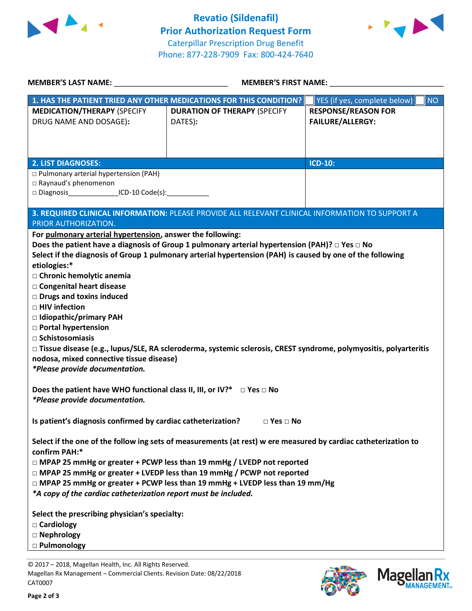



| <b>MEMBER'S LAST NAME:</b> NAME                                                                                 | <b>MEMBER'S FIRST NAME:</b>                                                                                        |                                           |  |  |
|-----------------------------------------------------------------------------------------------------------------|--------------------------------------------------------------------------------------------------------------------|-------------------------------------------|--|--|
|                                                                                                                 | 1. HAS THE PATIENT TRIED ANY OTHER MEDICATIONS FOR THIS CONDITION?                                                 | YES (if yes, complete below)<br><b>NO</b> |  |  |
| <b>MEDICATION/THERAPY (SPECIFY</b>                                                                              | <b>DURATION OF THERAPY (SPECIFY</b>                                                                                | <b>RESPONSE/REASON FOR</b>                |  |  |
| DRUG NAME AND DOSAGE):                                                                                          | DATES):                                                                                                            | <b>FAILURE/ALLERGY:</b>                   |  |  |
|                                                                                                                 |                                                                                                                    |                                           |  |  |
|                                                                                                                 |                                                                                                                    |                                           |  |  |
| <b>2. LIST DIAGNOSES:</b>                                                                                       |                                                                                                                    | <b>ICD-10:</b>                            |  |  |
| □ Pulmonary arterial hypertension (PAH)                                                                         |                                                                                                                    |                                           |  |  |
| Raynaud's phenomenon                                                                                            |                                                                                                                    |                                           |  |  |
| □ Diagnosis__________________ICD-10 Code(s):_______                                                             |                                                                                                                    |                                           |  |  |
|                                                                                                                 | 3. REQUIRED CLINICAL INFORMATION: PLEASE PROVIDE ALL RELEVANT CLINICAL INFORMATION TO SUPPORT A                    |                                           |  |  |
| PRIOR AUTHORIZATION.                                                                                            |                                                                                                                    |                                           |  |  |
| For pulmonary arterial hypertension, answer the following:                                                      |                                                                                                                    |                                           |  |  |
|                                                                                                                 | Does the patient have a diagnosis of Group 1 pulmonary arterial hypertension (PAH)? $\Box$ Yes $\Box$ No           |                                           |  |  |
| etiologies:*                                                                                                    | Select if the diagnosis of Group 1 pulmonary arterial hypertension (PAH) is caused by one of the following         |                                           |  |  |
| □ Chronic hemolytic anemia                                                                                      |                                                                                                                    |                                           |  |  |
| □ Congenital heart disease                                                                                      |                                                                                                                    |                                           |  |  |
| <b>Drugs and toxins induced</b>                                                                                 |                                                                                                                    |                                           |  |  |
| □ HIV infection                                                                                                 |                                                                                                                    |                                           |  |  |
| □ Idiopathic/primary PAH                                                                                        |                                                                                                                    |                                           |  |  |
| <b>D</b> Portal hypertension                                                                                    |                                                                                                                    |                                           |  |  |
| $\Box$ Schistosomiasis                                                                                          |                                                                                                                    |                                           |  |  |
| nodosa, mixed connective tissue disease)                                                                        | □ Tissue disease (e.g., lupus/SLE, RA scleroderma, systemic sclerosis, CREST syndrome, polymyositis, polyarteritis |                                           |  |  |
| *Please provide documentation.                                                                                  |                                                                                                                    |                                           |  |  |
|                                                                                                                 |                                                                                                                    |                                           |  |  |
| Does the patient have WHO functional class II, III, or IV?* $\Box$ Yes $\Box$ No                                |                                                                                                                    |                                           |  |  |
| *Please provide documentation.                                                                                  |                                                                                                                    |                                           |  |  |
|                                                                                                                 |                                                                                                                    |                                           |  |  |
| Is patient's diagnosis confirmed by cardiac catheterization? $\Box$ Yes $\Box$ No                               |                                                                                                                    |                                           |  |  |
| Select if the one of the follow ing sets of measurements (at rest) w ere measured by cardiac catheterization to |                                                                                                                    |                                           |  |  |
| confirm PAH:*                                                                                                   |                                                                                                                    |                                           |  |  |
| □ MPAP 25 mmHg or greater + PCWP less than 19 mmHg / LVEDP not reported                                         |                                                                                                                    |                                           |  |  |
| □ MPAP 25 mmHg or greater + LVEDP less than 19 mmHg / PCWP not reported                                         |                                                                                                                    |                                           |  |  |
| $\Box$ MPAP 25 mmHg or greater + PCWP less than 19 mmHg + LVEDP less than 19 mm/Hg                              |                                                                                                                    |                                           |  |  |
| *A copy of the cardiac catheterization report must be included.                                                 |                                                                                                                    |                                           |  |  |
| Select the prescribing physician's specialty:                                                                   |                                                                                                                    |                                           |  |  |
| □ Cardiology                                                                                                    |                                                                                                                    |                                           |  |  |
| □ Nephrology                                                                                                    |                                                                                                                    |                                           |  |  |
| □ Pulmonology                                                                                                   |                                                                                                                    |                                           |  |  |

© 2017 – 2018, Magellan Health, Inc. All Rights Reserved. Magellan Rx Management – Commercial Clients. Revision Date: 08/22/2018 CAT0007